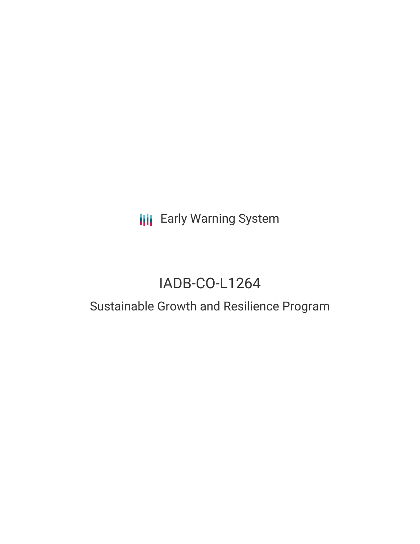# **III** Early Warning System

# IADB-CO-L1264

## Sustainable Growth and Resilience Program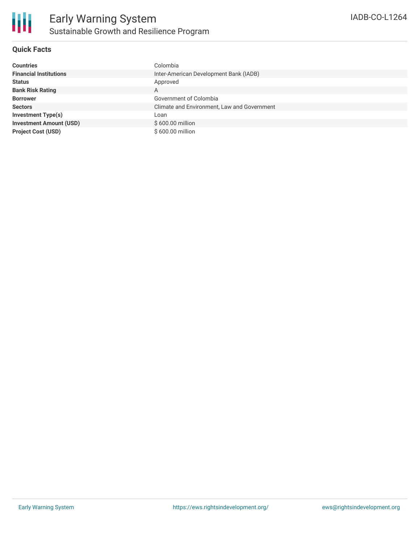

#### **Quick Facts**

| <b>Countries</b>               | Colombia                                    |
|--------------------------------|---------------------------------------------|
| <b>Financial Institutions</b>  | Inter-American Development Bank (IADB)      |
| <b>Status</b>                  | Approved                                    |
| <b>Bank Risk Rating</b>        | A                                           |
| <b>Borrower</b>                | Government of Colombia                      |
| <b>Sectors</b>                 | Climate and Environment, Law and Government |
| <b>Investment Type(s)</b>      | Loan                                        |
| <b>Investment Amount (USD)</b> | \$600,00 million                            |
| <b>Project Cost (USD)</b>      | \$600.00 million                            |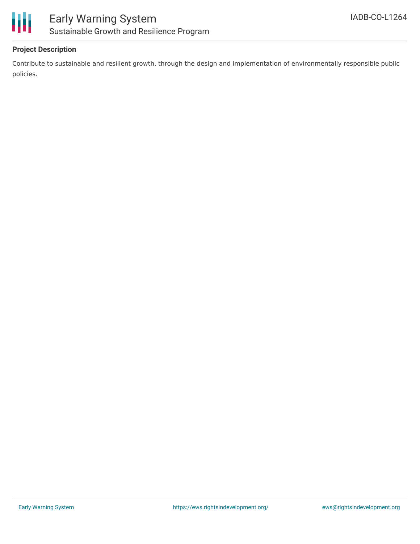

#### **Project Description**

Contribute to sustainable and resilient growth, through the design and implementation of environmentally responsible public policies.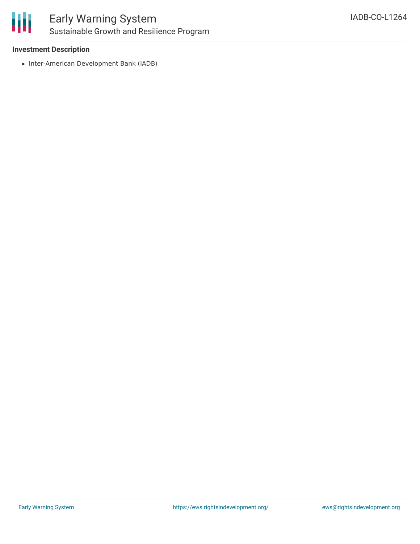

### Early Warning System Sustainable Growth and Resilience Program

#### **Investment Description**

• Inter-American Development Bank (IADB)